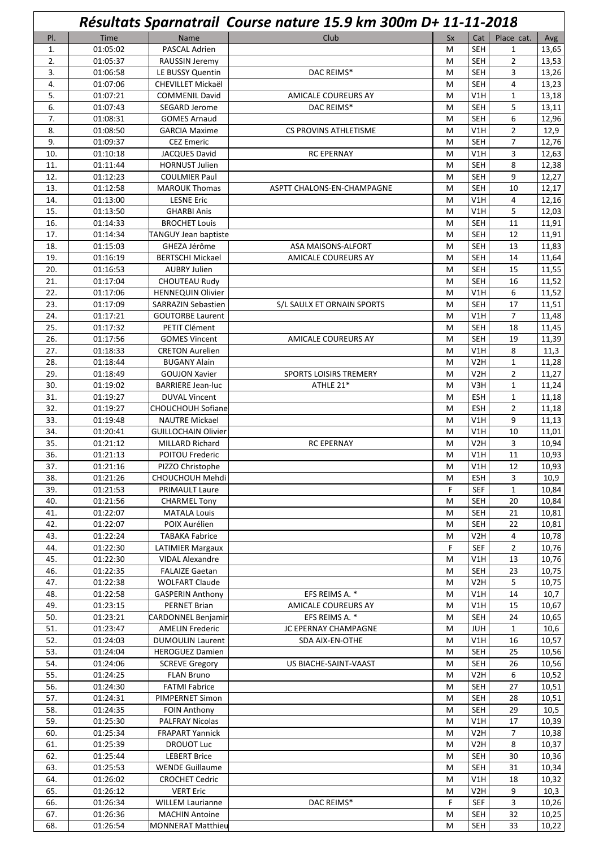|            | Résultats Sparnatrail Course nature 15.9 km 300m D+ 11-11-2018 |                                                       |                               |        |                                |                      |                |  |
|------------|----------------------------------------------------------------|-------------------------------------------------------|-------------------------------|--------|--------------------------------|----------------------|----------------|--|
| PI.        | <b>Time</b>                                                    | Name                                                  | Club                          | Sx     | Cat                            | Place cat.           | Avg            |  |
| 1.         | 01:05:02                                                       | PASCAL Adrien                                         |                               | M      | <b>SEH</b>                     | 1                    | 13,65          |  |
| 2.         | 01:05:37                                                       | RAUSSIN Jeremy                                        |                               | M      | <b>SEH</b>                     | $\overline{2}$       | 13,53          |  |
| 3.         | 01:06:58                                                       | LE BUSSY Quentin                                      | DAC REIMS*                    | M      | <b>SEH</b>                     | 3                    | 13,26          |  |
| 4.         | 01:07:06                                                       | <b>CHEVILLET Mickaël</b>                              |                               | M      | <b>SEH</b>                     | 4                    | 13,23          |  |
| 5.         | 01:07:21                                                       | <b>COMMENIL David</b>                                 | AMICALE COUREURS AY           | M      | V1H                            | $\mathbf{1}$         | 13,18          |  |
| 6.         | 01:07:43                                                       | SEGARD Jerome                                         | DAC REIMS*                    | M      | <b>SEH</b>                     | 5                    | 13,11          |  |
| 7.         | 01:08:31                                                       | <b>GOMES Arnaud</b>                                   |                               | M      | <b>SEH</b>                     | 6                    | 12,96          |  |
| 8.         | 01:08:50                                                       | <b>GARCIA Maxime</b>                                  | CS PROVINS ATHLETISME         | M      | V1H                            | $\overline{2}$       | 12,9           |  |
| 9.         | 01:09:37<br>01:10:18                                           | <b>CEZ Emeric</b>                                     |                               | M      | <b>SEH</b><br>V1H              | $\overline{7}$       | 12,76          |  |
| 10.<br>11. | 01:11:44                                                       | <b>JACQUES David</b><br><b>HORNUST Julien</b>         | <b>RC EPERNAY</b>             | M<br>M | <b>SEH</b>                     | 3<br>8               | 12,63<br>12,38 |  |
| 12.        | 01:12:23                                                       | <b>COULMIER Paul</b>                                  |                               | M      | <b>SEH</b>                     | 9                    | 12,27          |  |
| 13.        | 01:12:58                                                       | <b>MAROUK Thomas</b>                                  | ASPTT CHALONS-EN-CHAMPAGNE    | M      | <b>SEH</b>                     | 10                   | 12,17          |  |
| 14.        | 01:13:00                                                       | <b>LESNE Eric</b>                                     |                               | M      | V1H                            | 4                    | 12,16          |  |
| 15.        | 01:13:50                                                       | <b>GHARBI Anis</b>                                    |                               | M      | V1H                            | 5                    | 12,03          |  |
| 16.        | 01:14:33                                                       | <b>BROCHET Louis</b>                                  |                               | M      | <b>SEH</b>                     | 11                   | 11,91          |  |
| 17.        | 01:14:34                                                       | TANGUY Jean baptiste                                  |                               | M      | <b>SEH</b>                     | 12                   | 11,91          |  |
| 18.        | 01:15:03                                                       | GHEZA Jérôme                                          | ASA MAISONS-ALFORT            | M      | <b>SEH</b>                     | 13                   | 11,83          |  |
| 19.        | 01:16:19                                                       | <b>BERTSCHI Mickael</b>                               | <b>AMICALE COUREURS AY</b>    | M      | <b>SEH</b>                     | 14                   | 11,64          |  |
| 20.        | 01:16:53                                                       | <b>AUBRY Julien</b>                                   |                               | M      | <b>SEH</b>                     | 15                   | 11,55          |  |
| 21.        | 01:17:04                                                       | <b>CHOUTEAU Rudy</b>                                  |                               | M      | <b>SEH</b>                     | 16                   | 11,52          |  |
| 22.<br>23. | 01:17:06<br>01:17:09                                           | <b>HENNEQUIN Olivier</b><br><b>SARRAZIN Sebastien</b> | S/L SAULX ET ORNAIN SPORTS    | M<br>M | V1H<br><b>SEH</b>              | 6<br>17              | 11,52<br>11,51 |  |
| 24.        | 01:17:21                                                       | <b>GOUTORBE Laurent</b>                               |                               | M      | V1H                            | $\overline{7}$       | 11,48          |  |
| 25.        | 01:17:32                                                       | PETIT Clément                                         |                               | M      | SEH                            | 18                   | 11,45          |  |
| 26.        | 01:17:56                                                       | <b>GOMES Vincent</b>                                  | AMICALE COUREURS AY           | M      | <b>SEH</b>                     | 19                   | 11,39          |  |
| 27.        | 01:18:33                                                       | <b>CRETON Aurelien</b>                                |                               | M      | V1H                            | 8                    | 11,3           |  |
| 28.        | 01:18:44                                                       | <b>BUGANY Alain</b>                                   |                               | M      | V <sub>2</sub> H               | $\mathbf{1}$         | 11,28          |  |
| 29.        | 01:18:49                                                       | <b>GOUJON Xavier</b>                                  | <b>SPORTS LOISIRS TREMERY</b> | M      | V <sub>2</sub> H               | $\overline{2}$       | 11,27          |  |
| 30.        | 01:19:02                                                       | <b>BARRIERE Jean-luc</b>                              | ATHLE 21*                     | M      | V3H                            | $\mathbf{1}$         | 11,24          |  |
| 31.        | 01:19:27                                                       | <b>DUVAL Vincent</b>                                  |                               | M      | <b>ESH</b>                     | $\mathbf{1}$         | 11,18          |  |
| 32.        | 01:19:27                                                       | CHOUCHOUH Sofiane                                     |                               | M      | <b>ESH</b>                     | $\overline{2}$       | 11,18          |  |
| 33.<br>34. | 01:19:48<br>01:20:41                                           | <b>NAUTRE Mickael</b><br><b>GUILLOCHAIN Olivier</b>   |                               | M<br>M | V1H<br>V1H                     | 9<br>10              | 11,13<br>11,01 |  |
| 35.        | 01:21:12                                                       | <b>MILLARD Richard</b>                                | <b>RC EPERNAY</b>             | M      | V <sub>2</sub> H               | 3                    | 10,94          |  |
| 36.        | 01:21:13                                                       | POITOU Frederic                                       |                               | M      | V1H                            | 11                   | 10,93          |  |
| 37.        | 01:21:16                                                       | PIZZO Christophe                                      |                               | M      | V1H                            | 12                   | 10,93          |  |
| 38.        | 01:21:26                                                       | CHOUCHOUH Mehdi                                       |                               | M      | <b>ESH</b>                     | 3                    | 10,9           |  |
| 39.        | 01:21:53                                                       | <b>PRIMAULT Laure</b>                                 |                               | F      | <b>SEF</b>                     | $\mathbf{1}$         | 10,84          |  |
| 40.        | 01:21:56                                                       | <b>CHARMEL Tony</b>                                   |                               | M      | <b>SEH</b>                     | 20                   | 10,84          |  |
| 41.        | 01:22:07                                                       | <b>MATALA Louis</b>                                   |                               | M      | <b>SEH</b>                     | 21                   | 10,81          |  |
| 42.        | 01:22:07                                                       | POIX Aurélien                                         |                               | M      | <b>SEH</b>                     | 22                   | 10,81          |  |
| 43.        | 01:22:24                                                       | <b>TABAKA Fabrice</b>                                 |                               | M<br>F | V2H                            | 4                    | 10,78          |  |
| 44.<br>45. | 01:22:30<br>01:22:30                                           | <b>LATIMIER Margaux</b><br><b>VIDAL Alexandre</b>     |                               | M      | <b>SEF</b><br>V1H              | $\overline{2}$<br>13 | 10,76<br>10,76 |  |
| 46.        | 01:22:35                                                       | <b>FALAIZE Gaetan</b>                                 |                               | M      | <b>SEH</b>                     | 23                   | 10,75          |  |
| 47.        | 01:22:38                                                       | <b>WOLFART Claude</b>                                 |                               | M      | V2H                            | 5                    | 10,75          |  |
| 48.        | 01:22:58                                                       | <b>GASPERIN Anthony</b>                               | EFS REIMS A. *                | M      | V1H                            | 14                   | 10,7           |  |
| 49.        | 01:23:15                                                       | <b>PERNET Brian</b>                                   | AMICALE COUREURS AY           | М      | V1H                            | 15                   | 10,67          |  |
| 50.        | 01:23:21                                                       | <b>CARDONNEL Benjamin</b>                             | EFS REIMS A. *                | М      | <b>SEH</b>                     | 24                   | 10,65          |  |
| 51.        | 01:23:47                                                       | <b>AMELIN Frederic</b>                                | JC EPERNAY CHAMPAGNE          | M      | <b>JUH</b>                     | $\mathbf{1}$         | 10,6           |  |
| 52.        | 01:24:03                                                       | <b>DUMOULIN Laurent</b>                               | SDA AIX-EN-OTHE               | M      | V1H                            | 16                   | 10,57          |  |
| 53.        | 01:24:04                                                       | <b>HEROGUEZ Damien</b>                                |                               | M      | <b>SEH</b>                     | 25                   | 10,56          |  |
| 54.<br>55. | 01:24:06<br>01:24:25                                           | <b>SCREVE Gregory</b><br><b>FLAN Bruno</b>            | US BIACHE-SAINT-VAAST         | M<br>M | <b>SEH</b><br>V <sub>2</sub> H | 26<br>6              | 10,56<br>10,52 |  |
| 56.        | 01:24:30                                                       | <b>FATMI Fabrice</b>                                  |                               | M      | <b>SEH</b>                     | 27                   | 10,51          |  |
| 57.        | 01:24:31                                                       | PIMPERNET Simon                                       |                               | M      | <b>SEH</b>                     | 28                   | 10,51          |  |
| 58.        | 01:24:35                                                       | <b>FOIN Anthony</b>                                   |                               | M      | <b>SEH</b>                     | 29                   | 10,5           |  |
| 59.        | 01:25:30                                                       | <b>PALFRAY Nicolas</b>                                |                               | M      | V1H                            | 17                   | 10,39          |  |
| 60.        | 01:25:34                                                       | <b>FRAPART Yannick</b>                                |                               | M      | V <sub>2</sub> H               | 7                    | 10,38          |  |
| 61.        | 01:25:39                                                       | <b>DROUOT Luc</b>                                     |                               | M      | V <sub>2</sub> H               | 8                    | 10,37          |  |
| 62.        | 01:25:44                                                       | <b>LEBERT Brice</b>                                   |                               | M      | SEH                            | 30                   | 10,36          |  |
| 63.        | 01:25:53                                                       | <b>WENDE Guillaume</b>                                |                               | M      | <b>SEH</b>                     | 31                   | 10,34          |  |
| 64.        | 01:26:02                                                       | <b>CROCHET Cedric</b>                                 |                               | M      | V1H                            | 18                   | 10,32          |  |
| 65.<br>66. | 01:26:12<br>01:26:34                                           | <b>VERT Eric</b><br><b>WILLEM Laurianne</b>           | DAC REIMS*                    | M<br>F | V <sub>2</sub> H<br><b>SEF</b> | 9<br>3               | 10,3<br>10,26  |  |
| 67.        | 01:26:36                                                       | <b>MACHIN Antoine</b>                                 |                               | M      | <b>SEH</b>                     | 32                   | 10,25          |  |
| 68.        | 01:26:54                                                       | <b>MONNERAT Matthieu</b>                              |                               | M      | <b>SEH</b>                     | 33                   | 10,22          |  |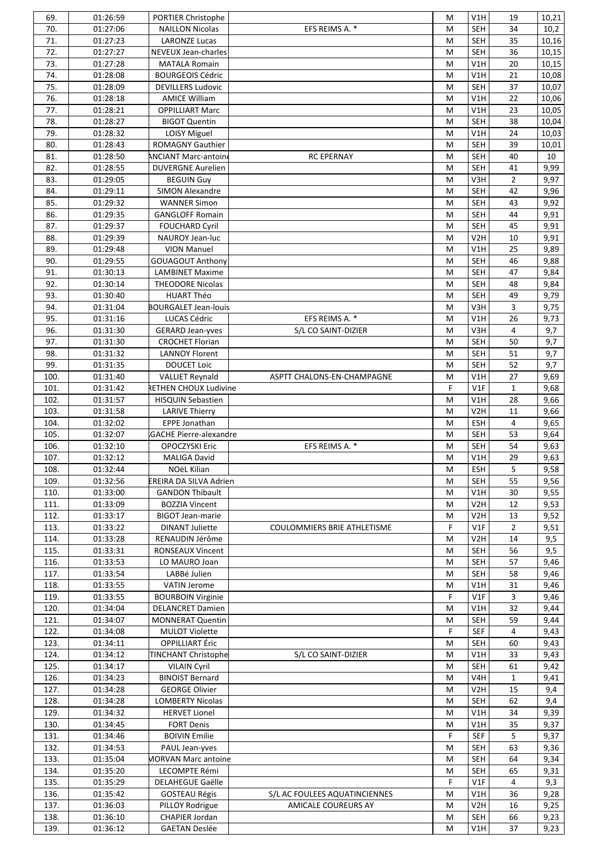| 69.          | 01:26:59             | PORTIER Christophe                            |                               | M            | V1H                      | 19             | 10,21        |
|--------------|----------------------|-----------------------------------------------|-------------------------------|--------------|--------------------------|----------------|--------------|
| 70.          | 01:27:06             | <b>NAILLON Nicolas</b>                        | EFS REIMS A. *                | M            | <b>SEH</b>               | 34             | 10,2         |
| 71.          | 01:27:23             | <b>LARONZE Lucas</b>                          |                               | M            | <b>SEH</b>               | 35             | 10,16        |
| 72.          | 01:27:27             | NEVEUX Jean-charles                           |                               | M            | <b>SEH</b>               | 36             | 10,15        |
| 73.          | 01:27:28             | <b>MATALA Romain</b>                          |                               | M            | V1H                      | 20             | 10,15        |
| 74.          | 01:28:08             | <b>BOURGEOIS Cédric</b>                       |                               | M            | V1H                      | 21             | 10,08        |
| 75.          | 01:28:09             | <b>DEVILLERS Ludovic</b>                      |                               | M            | <b>SEH</b>               | 37             | 10,07        |
| 76.          | 01:28:18             | <b>AMICE William</b>                          |                               | М            | V1H                      | 22             | 10,06        |
| 77.          | 01:28:21             | <b>OPPILLIART Marc</b>                        |                               | М            | V1H                      | 23             | 10,05        |
| 78.          | 01:28:27             | <b>BIGOT Quentin</b>                          |                               | M            | <b>SEH</b>               | 38             | 10,04        |
| 79.          | 01:28:32             | LOISY Miguel                                  |                               | M            | V1H                      | 24             | 10,03        |
| 80.<br>81.   | 01:28:43             | ROMAGNY Gauthier                              | <b>RC EPERNAY</b>             | M<br>M       | <b>SEH</b><br><b>SEH</b> | 39<br>40       | 10,01        |
| 82.          | 01:28:50<br>01:28:55 | <b>ANCIANT Marc-antoine</b>                   |                               | M            | <b>SEH</b>               | 41             | 10<br>9,99   |
| 83.          | 01:29:05             | <b>DUVERGNE Aurelien</b><br><b>BEGUIN Guy</b> |                               | M            | V3H                      | $\overline{2}$ | 9,97         |
| 84.          | 01:29:11             | SIMON Alexandre                               |                               | M            | <b>SEH</b>               | 42             | 9,96         |
| 85.          | 01:29:32             | <b>WANNER Simon</b>                           |                               | M            | <b>SEH</b>               | 43             | 9,92         |
| 86.          | 01:29:35             | <b>GANGLOFF Romain</b>                        |                               | M            | <b>SEH</b>               | 44             | 9,91         |
| 87.          | 01:29:37             | <b>FOUCHARD Cyril</b>                         |                               | M            | <b>SEH</b>               | 45             | 9,91         |
| 88.          | 01:29:39             | NAUROY Jean-luc                               |                               | M            | V <sub>2</sub> H         | 10             | 9,91         |
| 89.          | 01:29:48             | <b>VION Manuel</b>                            |                               | М            | V1H                      | 25             | 9,89         |
| 90.          | 01:29:55             | <b>GOUAGOUT Anthony</b>                       |                               | M            | <b>SEH</b>               | 46             | 9,88         |
| 91.          | 01:30:13             | <b>LAMBINET Maxime</b>                        |                               | M            | <b>SEH</b>               | 47             | 9,84         |
| 92.          | 01:30:14             | <b>THEODORE Nicolas</b>                       |                               | M            | <b>SEH</b>               | 48             | 9,84         |
| 93.          | 01:30:40             | <b>HUART Théo</b>                             |                               | M            | SEH                      | 49             | 9,79         |
| 94.          | 01:31:04             | <b>BOURGALET Jean-louis</b>                   |                               | M            | V3H                      | 3              | 9,75         |
| 95.          | 01:31:16             | LUCAS Cédric                                  | EFS REIMS A. *                | M            | V1H                      | 26             | 9,73         |
| 96.          | 01:31:30             | <b>GERARD Jean-yves</b>                       | S/L CO SAINT-DIZIER           | M            | V3H                      | 4              | 9,7          |
| 97.          | 01:31:30             | <b>CROCHET Florian</b>                        |                               | M            | <b>SEH</b>               | 50             | 9,7          |
| 98.          | 01:31:32             | <b>LANNOY Florent</b>                         |                               | M            | <b>SEH</b>               | 51             | 9,7          |
| 99.          | 01:31:35             | <b>DOUCET Loic</b>                            |                               | M            | <b>SEH</b>               | 52             | 9,7          |
| 100.         | 01:31:40             | <b>VALLIET Reynald</b>                        | ASPTT CHALONS-EN-CHAMPAGNE    | M            | V1H                      | 27             | 9,69         |
| 101.         | 01:31:42             | RETHEN CHOUX Ludivine                         |                               | $\mathsf{F}$ | V1F                      | $\mathbf{1}$   | 9,68         |
| 102.         | 01:31:57             | <b>HISQUIN Sebastien</b>                      |                               | M            | V1H                      | 28             | 9,66         |
| 103.         | 01:31:58             | <b>LARIVE Thierry</b>                         |                               | M            | V <sub>2</sub> H         | 11             | 9,66         |
| 104.         | 01:32:02             | <b>EPPE Jonathan</b>                          |                               | M            | ESH                      | $\overline{4}$ | 9,65         |
| 105.         | 01:32:07             | <b>GACHE Pierre-alexandre</b>                 |                               | M            | <b>SEH</b>               | 53             | 9,64         |
| 106.<br>107. | 01:32:10             | <b>OPOCZYSKI Eric</b><br><b>MALIGA David</b>  | EFS REIMS A. *                | M<br>M       | <b>SEH</b><br>V1H        | 54<br>29       | 9,63<br>9,63 |
| 108.         | 01:32:12<br>01:32:44 | NOëL Kilian                                   |                               | М            | ESH                      | 5              | 9,58         |
| 109.         | 01:32:56             | EREIRA DA SILVA Adrien                        |                               | M            | <b>SEH</b>               | 55             | 9,56         |
| 110.         | 01:33:00             | <b>GANDON Thibault</b>                        |                               | M            | V1H                      | 30             | 9,55         |
| 111.         | 01:33:09             | <b>BOZZIA Vincent</b>                         |                               | М            | V <sub>2</sub> H         | 12             | 9,53         |
| 112.         | 01:33:17             | <b>BIGOT Jean-marie</b>                       |                               | M            | V2H                      | 13             | 9,52         |
| 113.         | 01:33:22             | <b>DINANT Juliette</b>                        | COULOMMIERS BRIE ATHLETISME   | F            | V1F                      | $\overline{2}$ | 9,51         |
| 114.         | 01:33:28             | RENAUDIN Jérôme                               |                               | М            | V <sub>2</sub> H         | 14             | 9,5          |
| 115.         | 01:33:31             | RONSEAUX Vincent                              |                               | M            | <b>SEH</b>               | 56             | 9,5          |
| 116.         | 01:33:53             | LO MAURO Joan                                 |                               | М            | <b>SEH</b>               | 57             | 9,46         |
| 117.         | 01:33:54             | LABBé Julien                                  |                               | М            | <b>SEH</b>               | 58             | 9,46         |
| 118.         | 01:33:55             | <b>VATIN Jerome</b>                           |                               | М            | V1H                      | 31             | 9,46         |
| 119.         | 01:33:55             | <b>BOURBOIN Virginie</b>                      |                               | F            | V1F                      | 3              | 9,46         |
| 120.         | 01:34:04             | <b>DELANCRET Damien</b>                       |                               | M            | V1H                      | 32             | 9,44         |
| 121.         | 01:34:07             | <b>MONNERAT Quentin</b>                       |                               | М            | <b>SEH</b>               | 59             | 9,44         |
| 122.         | 01:34:08             | <b>MULOT Violette</b>                         |                               | F            | <b>SEF</b>               | 4              | 9,43         |
| 123.         | 01:34:11             | <b>OPPILLIART</b> Éric                        |                               | M            | <b>SEH</b>               | 60             | 9,43         |
| 124.         | 01:34:12             | <b>TINCHANT Christophe</b>                    | S/L CO SAINT-DIZIER           | М            | V1H                      | 33             | 9,43         |
| 125.         | 01:34:17             | <b>VILAIN Cyril</b>                           |                               | М            | <b>SEH</b>               | 61             | 9,42         |
| 126.         | 01:34:23             | <b>BINOIST Bernard</b>                        |                               | M            | V4H                      | $\mathbf{1}$   | 9,41         |
| 127.         | 01:34:28             | <b>GEORGE Olivier</b>                         |                               | М            | V <sub>2</sub> H         | 15             | 9,4          |
| 128.         | 01:34:28             | <b>LOMBERTY Nicolas</b>                       |                               | М            | <b>SEH</b>               | 62             | 9,4          |
| 129.         | 01:34:32             | <b>HERVET Lionel</b>                          |                               | M            | V1H                      | 34             | 9,39         |
| 130.         | 01:34:45             | <b>FORT Denis</b>                             |                               | M            | V1H                      | 35             | 9,37         |
| 131.         | 01:34:46             | <b>BOIVIN Emilie</b>                          |                               | F            | <b>SEF</b>               | 5              | 9,37         |
| 132.         | 01:34:53             | PAUL Jean-yves                                |                               | M            | <b>SEH</b>               | 63             | 9,36         |
| 133.<br>134. | 01:35:04<br>01:35:20 | <b>MORVAN Marc antoine</b><br>LECOMPTE Rémi   |                               | М<br>M       | <b>SEH</b><br><b>SEH</b> | 64<br>65       | 9,34<br>9,31 |
| 135.         | 01:35:29             | DELAHEGUE Gaëlle                              |                               | F            | V1F                      | 4              | 9,3          |
| 136.         | 01:35:42             | <b>GOSTEAU Régis</b>                          | S/L AC FOULEES AQUATINCIENNES | M            | V1H                      | 36             | 9,28         |
| 137.         | 01:36:03             | PILLOY Rodrigue                               | <b>AMICALE COUREURS AY</b>    | М            | V2H                      | 16             | 9,25         |
| 138.         | 01:36:10             | CHAPIER Jordan                                |                               | М            | <b>SEH</b>               | 66             | 9,23         |
| 139.         | 01:36:12             | <b>GAETAN Deslée</b>                          |                               | М            | V1H                      | 37             | 9,23         |
|              |                      |                                               |                               |              |                          |                |              |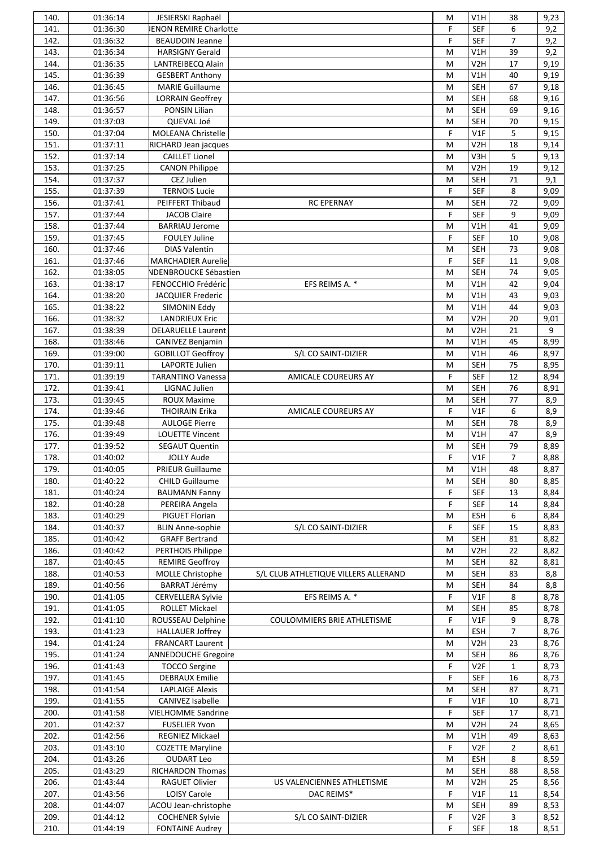| 140. | 01:36:14 | JESIERSKI Raphaël             |                                      | M | V1H              | 38             | 9,23 |
|------|----------|-------------------------------|--------------------------------------|---|------------------|----------------|------|
| 141. | 01:36:30 | <b>JENON REMIRE Charlotte</b> |                                      | F | <b>SEF</b>       | 6              | 9,2  |
| 142. | 01:36:32 | <b>BEAUDOIN Jeanne</b>        |                                      | F | <b>SEF</b>       | $\overline{7}$ | 9,2  |
| 143. | 01:36:34 | <b>HARSIGNY Gerald</b>        |                                      | M | V1H              | 39             | 9,2  |
| 144. | 01:36:35 | LANTREIBECQ Alain             |                                      | M | V <sub>2</sub> H | 17             | 9,19 |
| 145. | 01:36:39 |                               |                                      |   | V1H              | 40             |      |
|      |          | <b>GESBERT Anthony</b>        |                                      | M |                  |                | 9,19 |
| 146. | 01:36:45 | <b>MARIE Guillaume</b>        |                                      | M | <b>SEH</b>       | 67             | 9,18 |
| 147. | 01:36:56 | <b>LORRAIN Geoffrey</b>       |                                      | M | <b>SEH</b>       | 68             | 9,16 |
| 148. | 01:36:57 | PONSIN Lilian                 |                                      | M | <b>SEH</b>       | 69             | 9,16 |
| 149. | 01:37:03 | QUEVAL Joé                    |                                      | M | <b>SEH</b>       | 70             | 9,15 |
| 150. | 01:37:04 | MOLEANA Christelle            |                                      | F | V1F              | 5              | 9,15 |
| 151. | 01:37:11 | RICHARD Jean jacques          |                                      | M | V <sub>2</sub> H | 18             | 9,14 |
| 152. | 01:37:14 | <b>CAILLET Lionel</b>         |                                      | M | V3H              | 5              | 9,13 |
| 153. | 01:37:25 | <b>CANON Philippe</b>         |                                      | M | V <sub>2</sub> H | 19             | 9,12 |
| 154. | 01:37:37 | CEZ Julien                    |                                      | M | <b>SEH</b>       | 71             | 9,1  |
|      |          |                               |                                      |   |                  |                |      |
| 155. | 01:37:39 | <b>TERNOIS Lucie</b>          |                                      | F | <b>SEF</b>       | 8              | 9,09 |
| 156. | 01:37:41 | PEIFFERT Thibaud              | <b>RC EPERNAY</b>                    | M | <b>SEH</b>       | 72             | 9,09 |
| 157. | 01:37:44 | <b>JACOB Claire</b>           |                                      | F | <b>SEF</b>       | 9              | 9,09 |
| 158. | 01:37:44 | <b>BARRIAU Jerome</b>         |                                      | M | V1H              | 41             | 9,09 |
| 159. | 01:37:45 | <b>FOULEY Juline</b>          |                                      | F | <b>SEF</b>       | 10             | 9,08 |
| 160. | 01:37:46 | <b>DIAS Valentin</b>          |                                      | M | <b>SEH</b>       | 73             | 9,08 |
| 161. | 01:37:46 | <b>MARCHADIER Aurelie</b>     |                                      | F | <b>SEF</b>       | 11             | 9,08 |
| 162. | 01:38:05 | NDENBROUCKE Sébastien         |                                      | M | <b>SEH</b>       | 74             | 9,05 |
| 163. | 01:38:17 | FENOCCHIO Frédéric            | EFS REIMS A. *                       | M | V1H              | 42             | 9,04 |
|      |          |                               |                                      |   |                  |                |      |
| 164. | 01:38:20 | <b>JACQUIER Frederic</b>      |                                      | M | V1H              | 43             | 9,03 |
| 165. | 01:38:22 | SIMONIN Eddy                  |                                      | M | V1H              | 44             | 9,03 |
| 166. | 01:38:32 | <b>LANDRIEUX Eric</b>         |                                      | M | V <sub>2</sub> H | 20             | 9,01 |
| 167. | 01:38:39 | <b>DELARUELLE Laurent</b>     |                                      | M | V <sub>2</sub> H | 21             | 9    |
| 168. | 01:38:46 | <b>CANIVEZ Benjamin</b>       |                                      | M | V1H              | 45             | 8,99 |
| 169. | 01:39:00 | <b>GOBILLOT Geoffroy</b>      | S/L CO SAINT-DIZIER                  | M | V1H              | 46             | 8,97 |
| 170. | 01:39:11 | LAPORTE Julien                |                                      | M | <b>SEH</b>       | 75             | 8,95 |
| 171. | 01:39:19 | <b>TARANTINO Vanessa</b>      | <b>AMICALE COUREURS AY</b>           | F | <b>SEF</b>       | 12             | 8,94 |
| 172. | 01:39:41 | LIGNAC Julien                 |                                      | M | <b>SEH</b>       | 76             | 8,91 |
|      |          |                               |                                      |   |                  |                |      |
| 173. | 01:39:45 | <b>ROUX Maxime</b>            |                                      | M | <b>SEH</b>       | 77             | 8,9  |
| 174. | 01:39:46 | <b>THOIRAIN Erika</b>         | AMICALE COUREURS AY                  | F | V1F              | 6              | 8,9  |
| 175. | 01:39:48 | <b>AULOGE Pierre</b>          |                                      | M | <b>SEH</b>       | 78             | 8,9  |
| 176. | 01:39:49 | <b>LOUETTE Vincent</b>        |                                      | M | V1H              | 47             | 8,9  |
| 177. | 01:39:52 | <b>SEGAUT Quentin</b>         |                                      | M | <b>SEH</b>       | 79             | 8,89 |
| 178. | 01:40:02 | <b>JOLLY Aude</b>             |                                      | F | V1F              | $\overline{7}$ | 8,88 |
| 179. | 01:40:05 | PRIEUR Guillaume              |                                      | M | V1H              | 48             | 8,87 |
| 180. | 01:40:22 | <b>CHILD Guillaume</b>        |                                      | M | <b>SEH</b>       | 80             | 8,85 |
| 181. | 01:40:24 | <b>BAUMANN Fanny</b>          |                                      | F | <b>SEF</b>       | 13             | 8,84 |
|      |          |                               |                                      |   |                  |                |      |
| 182. | 01:40:28 | PEREIRA Angela                |                                      | F | <b>SEF</b>       | 14             | 8,84 |
| 183. | 01:40:29 | PIGUET Florian                |                                      | M | <b>ESH</b>       | 6              | 8,84 |
| 184. | 01:40:37 | <b>BLIN Anne-sophie</b>       | S/L CO SAINT-DIZIER                  | F | <b>SEF</b>       | 15             | 8,83 |
| 185. | 01:40:42 | <b>GRAFF Bertrand</b>         |                                      | M | <b>SEH</b>       | 81             | 8,82 |
| 186. | 01:40:42 | PERTHOIS Philippe             |                                      | M | V <sub>2</sub> H | 22             | 8,82 |
| 187. | 01:40:45 | <b>REMIRE Geoffroy</b>        |                                      | M | <b>SEH</b>       | 82             | 8,81 |
| 188. | 01:40:53 | MOLLE Christophe              | S/L CLUB ATHLETIQUE VILLERS ALLERAND | M | <b>SEH</b>       | 83             | 8,8  |
| 189. | 01:40:56 | <b>BARRAT Jérémy</b>          |                                      | M | <b>SEH</b>       | 84             | 8,8  |
| 190. | 01:41:05 | <b>CERVELLERA Sylvie</b>      | EFS REIMS A. *                       | F | V1F              | 8              | 8,78 |
|      |          | ROLLET Mickael                |                                      |   | <b>SEH</b>       | 85             |      |
| 191. | 01:41:05 |                               |                                      | M |                  |                | 8,78 |
| 192. | 01:41:10 | ROUSSEAU Delphine             | COULOMMIERS BRIE ATHLETISME          | F | V1F              | 9              | 8,78 |
| 193. | 01:41:23 | <b>HALLAUER Joffrey</b>       |                                      | M | <b>ESH</b>       | $\overline{7}$ | 8,76 |
| 194. | 01:41:24 | <b>FRANCART Laurent</b>       |                                      | M | V2H              | 23             | 8,76 |
| 195. | 01:41:24 | <b>ANNEDOUCHE Gregoire</b>    |                                      | M | <b>SEH</b>       | 86             | 8,76 |
| 196. | 01:41:43 | <b>TOCCO Sergine</b>          |                                      | F | V <sub>2F</sub>  | $\mathbf{1}$   | 8,73 |
| 197. | 01:41:45 | <b>DEBRAUX Emilie</b>         |                                      | F | <b>SEF</b>       | 16             | 8,73 |
| 198. | 01:41:54 | <b>LAPLAIGE Alexis</b>        |                                      | M | <b>SEH</b>       | 87             | 8,71 |
| 199. | 01:41:55 | CANIVEZ Isabelle              |                                      | F | V1F              | 10             | 8,71 |
| 200. | 01:41:58 | <b>VIELHOMME Sandrine</b>     |                                      | F | <b>SEF</b>       | 17             | 8,71 |
|      |          |                               |                                      |   |                  |                |      |
| 201. | 01:42:37 | <b>FUSELIER Yvon</b>          |                                      | M | V <sub>2</sub> H | 24             | 8,65 |
| 202. | 01:42:56 | REGNIEZ Mickael               |                                      | M | V1H              | 49             | 8,63 |
| 203. | 01:43:10 | <b>COZETTE Maryline</b>       |                                      | F | V <sub>2F</sub>  | $\overline{2}$ | 8,61 |
| 204. | 01:43:26 | <b>OUDART Leo</b>             |                                      | M | <b>ESH</b>       | 8              | 8,59 |
| 205. | 01:43:29 | <b>RICHARDON Thomas</b>       |                                      | M | <b>SEH</b>       | 88             | 8,58 |
| 206. | 01:43:44 | RAGUET Olivier                | US VALENCIENNES ATHLETISME           | M | V2H              | 25             | 8,56 |
| 207. | 01:43:56 | LOISY Carole                  | DAC REIMS*                           | F | V1F              | 11             | 8,54 |
| 208. | 01:44:07 | ACOU Jean-christophe          |                                      | M | <b>SEH</b>       | 89             | 8,53 |
| 209. | 01:44:12 | <b>COCHENER Sylvie</b>        |                                      | F | V <sub>2F</sub>  |                | 8,52 |
|      |          |                               | S/L CO SAINT-DIZIER                  |   |                  | 3              |      |
| 210. | 01:44:19 | <b>FONTAINE Audrey</b>        |                                      | F | <b>SEF</b>       | 18             | 8,51 |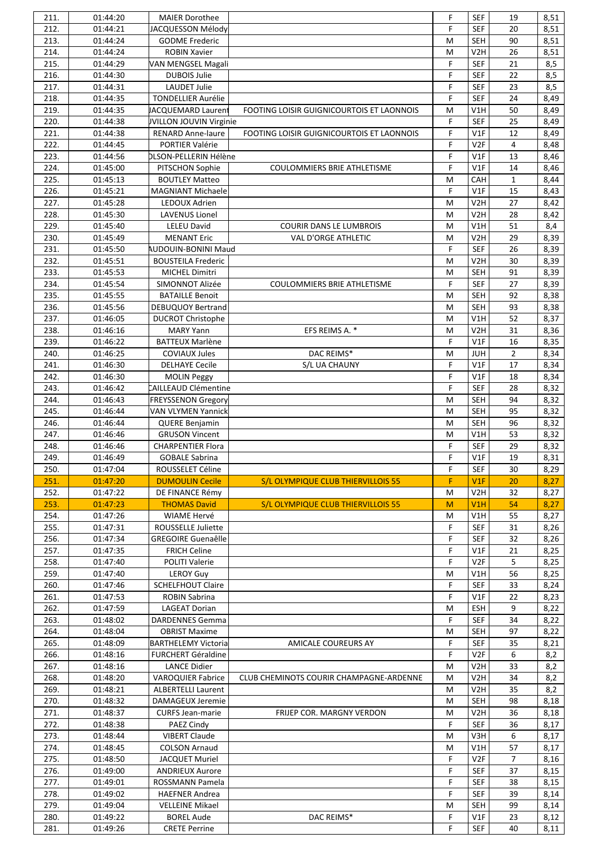| 211.         | 01:44:20             | <b>MAIER Dorothee</b>                     |                                           | F           | <b>SEF</b>       | 19             | 8,51         |
|--------------|----------------------|-------------------------------------------|-------------------------------------------|-------------|------------------|----------------|--------------|
| 212.         | 01:44:21             | JACQUESSON Mélody                         |                                           | F           | <b>SEF</b>       | 20             | 8,51         |
| 213.         | 01:44:24             | <b>GODME Frederic</b>                     |                                           | M           | <b>SEH</b>       | 90             | 8,51         |
| 214.         | 01:44:24             | <b>ROBIN Xavier</b>                       |                                           | M           | V <sub>2</sub> H | 26             | 8,51         |
| 215.         | 01:44:29             |                                           |                                           | F           | <b>SEF</b>       | 21             | 8,5          |
|              |                      | VAN MENGSEL Magali                        |                                           |             |                  |                |              |
| 216.         | 01:44:30             | <b>DUBOIS Julie</b>                       |                                           | F           | <b>SEF</b>       | 22             | 8,5          |
| 217.         | 01:44:31             | <b>LAUDET Julie</b>                       |                                           | F           | <b>SEF</b>       | 23             | 8,5          |
| 218.         | 01:44:35             | <b>TONDELLIER Aurélie</b>                 |                                           | F           | <b>SEF</b>       | 24             | 8,49         |
| 219.         | 01:44:35             | <b>JACQUEMARD Laurent</b>                 | FOOTING LOISIR GUIGNICOURTOIS ET LAONNOIS | M           | V1H              | 50             | 8,49         |
| 220.         | 01:44:38             | JVILLON JOUVIN Virginie                   |                                           | F           | <b>SEF</b>       | 25             | 8,49         |
| 221.         | 01:44:38             | <b>RENARD Anne-laure</b>                  | FOOTING LOISIR GUIGNICOURTOIS ET LAONNOIS | $\mathsf F$ | V1F              | 12             | 8,49         |
| 222.         | 01:44:45             | PORTIER Valérie                           |                                           | F           | V <sub>2F</sub>  | $\overline{4}$ | 8,48         |
| 223.         | 01:44:56             | DLSON-PELLERIN Hélène                     |                                           | F           | V1F              | 13             | 8,46         |
| 224.         | 01:45:00             |                                           | COULOMMIERS BRIE ATHLETISME               | F           | V1F              | 14             |              |
|              |                      | PITSCHON Sophie                           |                                           |             |                  |                | 8,46         |
| 225.         | 01:45:13             | <b>BOUTLEY Matteo</b>                     |                                           | M           | CAH              | $\mathbf{1}$   | 8,44         |
| 226.         | 01:45:21             | <b>MAGNIANT Michaele</b>                  |                                           | F           | V1F              | 15             | 8,43         |
| 227.         | 01:45:28             | LEDOUX Adrien                             |                                           | M           | V2H              | 27             | 8,42         |
| 228.         | 01:45:30             | <b>LAVENUS Lionel</b>                     |                                           | M           | V <sub>2</sub> H | 28             | 8,42         |
| 229.         | 01:45:40             | LELEU David                               | COURIR DANS LE LUMBROIS                   | M           | V1H              | 51             | 8,4          |
| 230.         | 01:45:49             | <b>MENANT Eric</b>                        | VAL D'ORGE ATHLETIC                       | M           | V <sub>2</sub> H | 29             | 8,39         |
| 231.         | 01:45:50             | AUDOUIN-BONINI Maud                       |                                           | F           | <b>SEF</b>       | 26             | 8,39         |
| 232.         | 01:45:51             | <b>BOUSTEILA Frederic</b>                 |                                           | M           | V <sub>2</sub> H | 30             | 8,39         |
| 233.         | 01:45:53             | <b>MICHEL Dimitri</b>                     |                                           | M           | <b>SEH</b>       | 91             | 8,39         |
|              |                      |                                           |                                           |             |                  |                |              |
| 234.         | 01:45:54             | SIMONNOT Alizée                           | COULOMMIERS BRIE ATHLETISME               | F           | <b>SEF</b>       | 27             | 8,39         |
| 235.         | 01:45:55             | <b>BATAILLE Benoit</b>                    |                                           | M           | <b>SEH</b>       | 92             | 8,38         |
| 236.         | 01:45:56             | <b>DEBUQUOY Bertrand</b>                  |                                           | M           | <b>SEH</b>       | 93             | 8,38         |
| 237.         | 01:46:05             | <b>DUCROT Christophe</b>                  |                                           | M           | V1H              | 52             | 8,37         |
| 238.         | 01:46:16             | <b>MARY Yann</b>                          | EFS REIMS A. *                            | M           | V <sub>2</sub> H | 31             | 8,36         |
| 239.         | 01:46:22             | <b>BATTEUX Marlène</b>                    |                                           | F           | V1F              | 16             | 8,35         |
| 240.         | 01:46:25             | <b>COVIAUX Jules</b>                      | DAC REIMS*                                | M           | <b>JUH</b>       | $\overline{2}$ | 8,34         |
| 241.         | 01:46:30             | <b>DELHAYE Cecile</b>                     | S/L UA CHAUNY                             | F           | V1F              | 17             | 8,34         |
| 242.         | 01:46:30             | <b>MOLIN Peggy</b>                        |                                           | F           | V1F              | 18             | 8,34         |
| 243.         | 01:46:42             | CAILLEAUD Clémentine                      |                                           | F           | <b>SEF</b>       | 28             |              |
|              |                      |                                           |                                           |             |                  |                | 8,32         |
| 244.         | 01:46:43             | <b>FREYSSENON Gregory</b>                 |                                           | M           | SEH              | 94             | 8,32         |
| 245.         | 01:46:44             | <b>VAN VLYMEN Yannick</b>                 |                                           | M           | <b>SEH</b>       | 95             | 8,32         |
| 246.         | 01:46:44             | <b>QUERE Benjamin</b>                     |                                           | M           | <b>SEH</b>       | 96             | 8,32         |
| 247.         | 01:46:46             | <b>GRUSON Vincent</b>                     |                                           | M           | V1H              | 53             | 8,32         |
| 248.         | 01:46:46             | <b>CHARPENTIER Flora</b>                  |                                           | F           | <b>SEF</b>       | 29             | 8,32         |
| 249.         | 01:46:49             | <b>GOBALE Sabrina</b>                     |                                           | F           | V1F              | 19             | 8,31         |
| 250.         | 01:47:04             | ROUSSELET Céline                          |                                           | F           | <b>SEF</b>       | 30             | 8,29         |
| 251.         | 01:47:20             | <b>DUMOULIN Cecile</b>                    | S/L OLYMPIQUE CLUB THIERVILLOIS 55        | F           | V1F              | 20             | 8,27         |
| 252.         | 01:47:22             | DE FINANCE Rémy                           |                                           | M           | V <sub>2</sub> H | 32             | 8,27         |
|              |                      |                                           |                                           |             |                  |                |              |
| 253.         | 01:47:23             | <b>THOMAS David</b>                       | S/L OLYMPIQUE CLUB THIERVILLOIS 55        | M           | V1H              | 54             | 8,27         |
| 254.         | 01:47:26             | WIAME Hervé                               |                                           | М           | V1H              | 55             | 8,27         |
| 255.         | 01:47:31             | ROUSSELLE Juliette                        |                                           | F           | SEF              | 31             | 8,26         |
| 256.         | 01:47:34             | <b>GREGOIRE Guenaêlle</b>                 |                                           | F           | SEF              | 32             | 8,26         |
| 257.         | 01:47:35             | <b>FRICH Celine</b>                       |                                           |             |                  |                |              |
| 258.         |                      |                                           |                                           | F           | V1F              | 21             | 8,25         |
| 259.         | 01:47:40             | POLITI Valerie                            |                                           | F           | V <sub>2</sub> F | 5              | 8,25         |
|              | 01:47:40             |                                           |                                           | M           | V1H              | 56             |              |
|              |                      | <b>LEROY Guy</b>                          |                                           |             |                  |                | 8,25         |
| 260.         | 01:47:46             | <b>SCHELFHOUT Claire</b>                  |                                           | F           | <b>SEF</b>       | 33             | 8,24         |
| 261.         | 01:47:53             | ROBIN Sabrina                             |                                           | F           | V1F              | 22             | 8,23         |
| 262.         | 01:47:59             | <b>LAGEAT Dorian</b>                      |                                           | M           | ESH              | 9              | 8,22         |
| 263.         | 01:48:02             | DARDENNES Gemma                           |                                           | F           | <b>SEF</b>       | 34             | 8,22         |
| 264.         | 01:48:04             | <b>OBRIST Maxime</b>                      |                                           | M           | <b>SEH</b>       | 97             | 8,22         |
| 265.         | 01:48:09             | <b>BARTHELEMY Victoria</b>                | AMICALE COUREURS AY                       | F           | <b>SEF</b>       | 35             | 8,21         |
| 266.         | 01:48:16             | <b>FURCHERT Géraldine</b>                 |                                           | F           | V <sub>2F</sub>  | 6              | 8,2          |
| 267.         | 01:48:16             | <b>LANCE Didier</b>                       |                                           | M           | V <sub>2</sub> H | 33             | 8,2          |
| 268.         | 01:48:20             | <b>VAROQUIER Fabrice</b>                  | CLUB CHEMINOTS COURIR CHAMPAGNE-ARDENNE   | М           | V <sub>2</sub> H | 34             | 8,2          |
|              |                      |                                           |                                           |             |                  |                |              |
| 269.         | 01:48:21             | <b>ALBERTELLI Laurent</b>                 |                                           | M           | V2H              | 35             | 8,2          |
| 270.         | 01:48:32             | DAMAGEUX Jeremie                          |                                           | M           | <b>SEH</b>       | 98             | 8,18         |
| 271.         | 01:48:37             | <b>CURFS Jean-marie</b>                   | FRIJEP COR. MARGNY VERDON                 | M           | V <sub>2</sub> H | 36             | 8,18         |
| 272.         | 01:48:38             | PAEZ Cindy                                |                                           | F           | <b>SEF</b>       | 36             | 8,17         |
| 273.         | 01:48:44             | <b>VIBERT Claude</b>                      |                                           | M           | V3H              | 6              | 8,17         |
| 274.         | 01:48:45             | <b>COLSON Arnaud</b>                      |                                           | M           | V1H              | 57             | 8,17         |
| 275.         | 01:48:50             | <b>JACQUET Muriel</b>                     |                                           | F           | V <sub>2F</sub>  | $\overline{7}$ | 8,16         |
| 276.         | 01:49:00             | <b>ANDRIEUX Aurore</b>                    |                                           | F           | <b>SEF</b>       | 37             | 8,15         |
| 277.         | 01:49:01             | ROSSMANN Pamela                           |                                           | F           | <b>SEF</b>       | 38             | 8,15         |
|              |                      | <b>HAEFNER Andrea</b>                     |                                           | F           |                  |                |              |
| 278.         | 01:49:02             |                                           |                                           |             | <b>SEF</b>       | 39             | 8,14         |
| 279.         | 01:49:04             | <b>VELLEINE Mikael</b>                    |                                           | M           | SEH              | 99             | 8,14         |
| 280.<br>281. | 01:49:22<br>01:49:26 | <b>BOREL Aude</b><br><b>CRETE Perrine</b> | DAC REIMS*                                | F<br>F      | V1F<br>SEF       | 23<br>40       | 8,12<br>8,11 |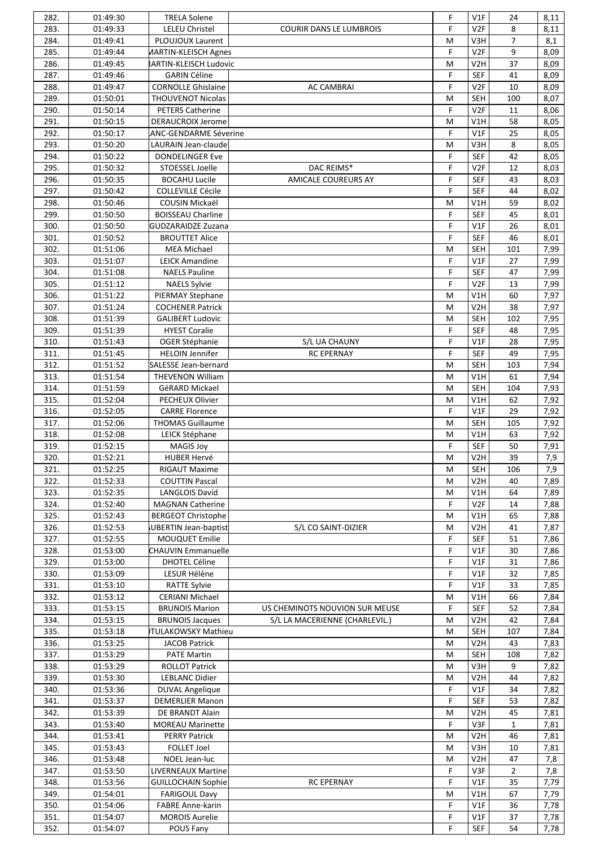| 282. | 01:49:30 | <b>TRELA Solene</b>           |                                | F | V1F              | 24             | 8,11 |
|------|----------|-------------------------------|--------------------------------|---|------------------|----------------|------|
| 283. | 01:49:33 | <b>LELEU Christel</b>         | <b>COURIR DANS LE LUMBROIS</b> | F | V <sub>2F</sub>  | 8              | 8,11 |
| 284. | 01:49:41 | PLOUJOUX Laurent              |                                | M | V3H              | $\overline{7}$ | 8,1  |
| 285. | 01:49:44 | <b>MARTIN-KLEISCH Agnes</b>   |                                | F | V <sub>2F</sub>  | 9              | 8,09 |
| 286. | 01:49:45 | <b>IARTIN-KLEISCH Ludovic</b> |                                | M | V <sub>2</sub> H | 37             | 8,09 |
| 287. | 01:49:46 | <b>GARIN Céline</b>           |                                | F | <b>SEF</b>       | 41             |      |
|      |          |                               |                                |   |                  |                | 8,09 |
| 288. | 01:49:47 | <b>CORNOLLE Ghislaine</b>     | <b>AC CAMBRAI</b>              | F | V <sub>2F</sub>  | 10             | 8,09 |
| 289. | 01:50:01 | <b>THOUVENOT Nicolas</b>      |                                | M | <b>SEH</b>       | 100            | 8,07 |
| 290. | 01:50:14 | <b>PETERS Catherine</b>       |                                | F | V <sub>2F</sub>  | 11             | 8,06 |
| 291. | 01:50:15 | <b>DERAUCROIX Jerome</b>      |                                | M | V1H              | 58             | 8,05 |
| 292. | 01:50:17 | <b>ANC-GENDARME Séverine</b>  |                                | F | V1F              | 25             | 8,05 |
| 293. | 01:50:20 | LAURAIN Jean-claude           |                                | M | V3H              | 8              | 8,05 |
| 294. | 01:50:22 | <b>DONDELINGER Eve</b>        |                                | F | <b>SEF</b>       | 42             | 8,05 |
| 295. | 01:50:32 | STOESSEL Joelle               | DAC REIMS*                     | F | V <sub>2F</sub>  | 12             | 8,03 |
| 296. | 01:50:35 | <b>BOCAHU Lucile</b>          | <b>AMICALE COUREURS AY</b>     | F | <b>SEF</b>       | 43             |      |
|      |          |                               |                                |   |                  |                | 8,03 |
| 297. | 01:50:42 | <b>COLLEVILLE Cécile</b>      |                                | F | <b>SEF</b>       | 44             | 8,02 |
| 298. | 01:50:46 | COUSIN Mickaël                |                                | M | V1H              | 59             | 8,02 |
| 299. | 01:50:50 | <b>BOISSEAU Charline</b>      |                                | F | <b>SEF</b>       | 45             | 8,01 |
| 300. | 01:50:50 | <b>GUDZARAIDZE Zuzana</b>     |                                | F | V1F              | 26             | 8,01 |
| 301. | 01:50:52 | <b>BROUTTET Alice</b>         |                                | F | <b>SEF</b>       | 46             | 8,01 |
| 302. | 01:51:06 | <b>MEA Michael</b>            |                                | M | <b>SEH</b>       | 101            | 7,99 |
| 303. | 01:51:07 | <b>LEICK Amandine</b>         |                                | F | V1F              | 27             | 7,99 |
| 304. | 01:51:08 | <b>NAELS Pauline</b>          |                                | F | <b>SEF</b>       | 47             | 7,99 |
| 305. | 01:51:12 | <b>NAELS Sylvie</b>           |                                | F | V <sub>2F</sub>  | 13             | 7,99 |
| 306. |          |                               |                                | M | V1H              | 60             |      |
|      | 01:51:22 | PIERMAY Stephane              |                                |   |                  |                | 7,97 |
| 307. | 01:51:24 | <b>COCHENER Patrick</b>       |                                | M | V <sub>2</sub> H | 38             | 7,97 |
| 308. | 01:51:39 | <b>GALIBERT Ludovic</b>       |                                | M | <b>SEH</b>       | 102            | 7,95 |
| 309. | 01:51:39 | <b>HYEST Coralie</b>          |                                | F | <b>SEF</b>       | 48             | 7,95 |
| 310. | 01:51:43 | OGER Stéphanie                | S/L UA CHAUNY                  | F | V1F              | 28             | 7,95 |
| 311. | 01:51:45 | <b>HELOIN Jennifer</b>        | <b>RC EPERNAY</b>              | F | <b>SEF</b>       | 49             | 7,95 |
| 312. | 01:51:52 | SALESSE Jean-bernard          |                                | M | <b>SEH</b>       | 103            | 7,94 |
| 313. | 01:51:54 | <b>THEVENON William</b>       |                                | M | V1H              | 61             | 7,94 |
| 314. | 01:51:59 | GéRARD Mickael                |                                | M | <b>SEH</b>       | 104            | 7,93 |
| 315. | 01:52:04 | PECHEUX Olivier               |                                | M | V1H              | 62             | 7,92 |
|      |          | <b>CARRE Florence</b>         |                                | F | V1F              | 29             |      |
| 316. | 01:52:05 |                               |                                |   |                  |                | 7,92 |
| 317. | 01:52:06 | <b>THOMAS Guillaume</b>       |                                | M | <b>SEH</b>       | 105            | 7,92 |
| 318. | 01:52:08 | LEICK Stéphane                |                                | M | V1H              | 63             | 7,92 |
| 319. | 01:52:15 | <b>MAGIS Joy</b>              |                                | F | <b>SEF</b>       | 50             | 7,91 |
| 320. | 01:52:21 | <b>HUBER Hervé</b>            |                                | M | V2H              | 39             | 7,9  |
| 321. | 01:52:25 | <b>RIGAUT Maxime</b>          |                                | M | SEH              | 106            | 7,9  |
| 322. | 01:52:33 | <b>COUTTIN Pascal</b>         |                                | M | V <sub>2</sub> H | 40             | 7,89 |
| 323. | 01:52:35 | <b>LANGLOIS David</b>         |                                | M | V1H              | 64             | 7,89 |
| 324. | 01:52:40 | <b>MAGNAN Catherine</b>       |                                | F | V <sub>2F</sub>  | 14             | 7,88 |
| 325. | 01:52:43 | <b>BERGEOT Christophe</b>     |                                | M | V1H              | 65             | 7,88 |
|      |          |                               |                                |   | V <sub>2</sub> H |                |      |
| 326. | 01:52:53 | UBERTIN Jean-baptist          | S/L CO SAINT-DIZIER            | M |                  | 41             | 7,87 |
| 327. | 01:52:55 | MOUQUET Emilie                |                                | F | <b>SEF</b>       | 51             | 7,86 |
| 328. | 01:53:00 | <b>CHAUVIN Emmanuelle</b>     |                                | F | V1F              | 30             | 7,86 |
| 329. | 01:53:00 | <b>DHOTEL Céline</b>          |                                | F | V1F              | 31             | 7,86 |
| 330. | 01:53:09 | LESUR Hélène                  |                                | F | V1F              | 32             | 7,85 |
| 331. | 01:53:10 | <b>RATTE Sylvie</b>           |                                | F | V1F              | 33             | 7,85 |
| 332. | 01:53:12 | <b>CERIANI Michael</b>        |                                | M | V1H              | 66             | 7,84 |
| 333. | 01:53:15 | <b>BRUNOIS Marion</b>         | US CHEMINOTS NOUVION SUR MEUSE | F | <b>SEF</b>       | 52             | 7,84 |
| 334. | 01:53:15 | <b>BRUNOIS Jacques</b>        | S/L LA MACERIENNE (CHARLEVIL.) | M | V <sub>2</sub> H | 42             | 7,84 |
| 335. | 01:53:18 | TULAKOWSKY Mathieu            |                                | M | <b>SEH</b>       | 107            |      |
|      |          |                               |                                |   |                  |                | 7,84 |
| 336. | 01:53:25 | <b>JACOB Patrick</b>          |                                | M | V2H              | 43             | 7,83 |
| 337. | 01:53:29 | <b>PATE Martin</b>            |                                | M | <b>SEH</b>       | 108            | 7,82 |
| 338. | 01:53:29 | <b>ROLLOT Patrick</b>         |                                | M | V3H              | 9              | 7,82 |
| 339. | 01:53:30 | <b>LEBLANC Didier</b>         |                                | M | V <sub>2</sub> H | 44             | 7,82 |
| 340. | 01:53:36 | <b>DUVAL Angelique</b>        |                                | F | V1F              | 34             | 7,82 |
| 341. | 01:53:37 | <b>DEMERLIER Manon</b>        |                                | F | <b>SEF</b>       | 53             | 7,82 |
| 342. | 01:53:39 | DE BRANDT Alain               |                                | M | V <sub>2</sub> H | 45             | 7,81 |
| 343. | 01:53:40 | <b>MOREAU Marinette</b>       |                                | F | V3F              | $\mathbf{1}$   | 7,81 |
| 344. | 01:53:41 | <b>PERRY Patrick</b>          |                                | M | V <sub>2</sub> H | 46             | 7,81 |
| 345. |          |                               |                                | M |                  | 10             |      |
|      | 01:53:43 | <b>FOLLET Joel</b>            |                                |   | V3H              |                | 7,81 |
| 346. | 01:53:48 | NOEL Jean-luc                 |                                | M | V2H              | 47             | 7,8  |
| 347. | 01:53:50 | <b>LIVERNEAUX Martine</b>     |                                | F | V3F              | $\overline{2}$ | 7,8  |
| 348. | 01:53:56 | <b>GUILLOCHAIN Sophie</b>     | <b>RC EPERNAY</b>              | F | V1F              | 35             | 7,79 |
| 349. | 01:54:01 | <b>FARIGOUL Davy</b>          |                                | M | V1H              | 67             | 7,79 |
| 350. | 01:54:06 | <b>FABRE Anne-karin</b>       |                                | F | V1F              | 36             | 7,78 |
| 351. | 01:54:07 | <b>MOROIS Aurelie</b>         |                                | F | V1F              | 37             | 7,78 |
| 352. | 01:54:07 | POUS Fany                     |                                | F | <b>SEF</b>       | 54             | 7,78 |
|      |          |                               |                                |   |                  |                |      |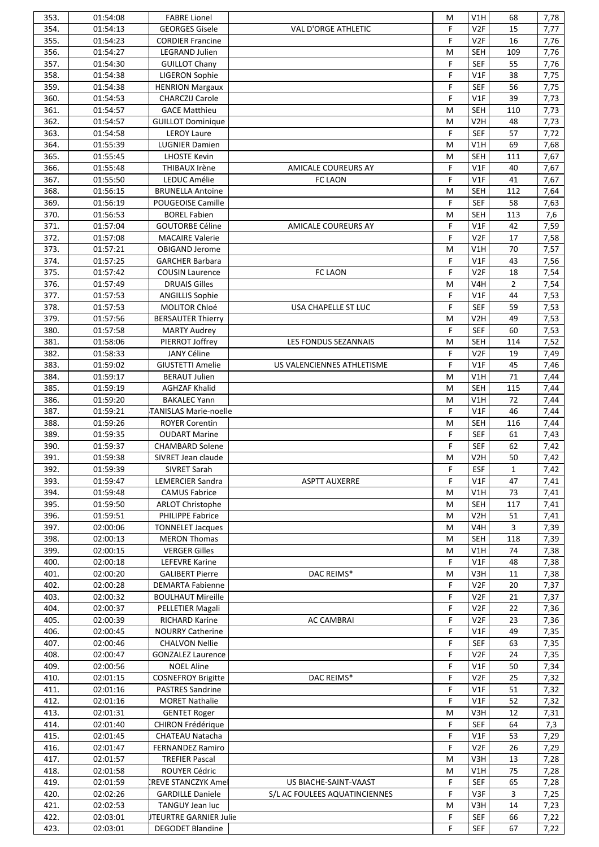| 353. | 01:54:08 | <b>FABRE Lionel</b>           |                               | M | V1H              | 68             | 7,78 |
|------|----------|-------------------------------|-------------------------------|---|------------------|----------------|------|
| 354. | 01:54:13 | <b>GEORGES Gisele</b>         | VAL D'ORGE ATHLETIC           | F | V <sub>2F</sub>  | 15             | 7,77 |
| 355. | 01:54:23 | <b>CORDIER Francine</b>       |                               | F | V <sub>2F</sub>  | 16             | 7,76 |
| 356. | 01:54:27 | <b>LEGRAND Julien</b>         |                               | M | <b>SEH</b>       | 109            | 7,76 |
| 357. | 01:54:30 | <b>GUILLOT Chany</b>          |                               | F | <b>SEF</b>       | 55             | 7,76 |
|      |          |                               |                               | F |                  |                |      |
| 358. | 01:54:38 | <b>LIGERON Sophie</b>         |                               |   | V1F              | 38             | 7,75 |
| 359. | 01:54:38 | <b>HENRION Margaux</b>        |                               | F | <b>SEF</b>       | 56             | 7,75 |
| 360. | 01:54:53 | <b>CHARCZIJ Carole</b>        |                               | F | V1F              | 39             | 7,73 |
| 361. | 01:54:57 | <b>GACE Matthieu</b>          |                               | M | <b>SEH</b>       | 110            | 7,73 |
| 362. | 01:54:57 | <b>GUILLOT Dominique</b>      |                               | M | V <sub>2</sub> H | 48             | 7,73 |
| 363. | 01:54:58 | <b>LEROY Laure</b>            |                               | F | <b>SEF</b>       | 57             | 7,72 |
| 364. | 01:55:39 | <b>LUGNIER Damien</b>         |                               | M | V1H              | 69             | 7,68 |
| 365. | 01:55:45 | <b>LHOSTE Kevin</b>           |                               | M | <b>SEH</b>       | 111            | 7,67 |
|      |          |                               |                               | F |                  |                |      |
| 366. | 01:55:48 | THIBAUX Irène                 | AMICALE COUREURS AY           |   | V1F              | 40             | 7,67 |
| 367. | 01:55:50 | LEDUC Amélie                  | <b>FC LAON</b>                | F | V1F              | 41             | 7,67 |
| 368. | 01:56:15 | <b>BRUNELLA Antoine</b>       |                               | M | <b>SEH</b>       | 112            | 7,64 |
| 369. | 01:56:19 | POUGEOISE Camille             |                               | F | <b>SEF</b>       | 58             | 7,63 |
| 370. | 01:56:53 | <b>BOREL Fabien</b>           |                               | M | <b>SEH</b>       | 113            | 7,6  |
| 371. | 01:57:04 | <b>GOUTORBE Céline</b>        | AMICALE COUREURS AY           | F | V1F              | 42             | 7,59 |
| 372. | 01:57:08 | <b>MACAIRE Valerie</b>        |                               | F | V <sub>2F</sub>  | 17             | 7,58 |
| 373. | 01:57:21 | OBIGAND Jerome                |                               | M | V1H              | 70             | 7,57 |
| 374. | 01:57:25 | <b>GARCHER Barbara</b>        |                               | F | V1F              | 43             | 7,56 |
|      |          |                               |                               |   |                  |                |      |
| 375. | 01:57:42 | <b>COUSIN Laurence</b>        | <b>FC LAON</b>                | F | V <sub>2F</sub>  | 18             | 7,54 |
| 376. | 01:57:49 | <b>DRUAIS Gilles</b>          |                               | M | V4H              | $\overline{2}$ | 7,54 |
| 377. | 01:57:53 | <b>ANGILLIS Sophie</b>        |                               | F | V1F              | 44             | 7,53 |
| 378. | 01:57:53 | MOLITOR Chloé                 | USA CHAPELLE ST LUC           | F | <b>SEF</b>       | 59             | 7,53 |
| 379. | 01:57:56 | <b>BERSAUTER Thierry</b>      |                               | M | V2H              | 49             | 7,53 |
| 380. | 01:57:58 | <b>MARTY Audrey</b>           |                               | F | <b>SEF</b>       | 60             | 7,53 |
| 381. | 01:58:06 | PIERROT Joffrey               | LES FONDUS SEZANNAIS          | M | <b>SEH</b>       | 114            | 7,52 |
| 382. | 01:58:33 | <b>JANY Céline</b>            |                               | F | V <sub>2F</sub>  | 19             | 7,49 |
| 383. | 01:59:02 | <b>GIUSTETTI Amelie</b>       | US VALENCIENNES ATHLETISME    | F | V1F              | 45             | 7,46 |
|      |          |                               |                               |   |                  |                |      |
| 384. | 01:59:17 | <b>BERAUT Julien</b>          |                               | M | V1H              | 71             | 7,44 |
| 385. | 01:59:19 | <b>AGHZAF Khalid</b>          |                               | M | <b>SEH</b>       | 115            | 7,44 |
| 386. | 01:59:20 | <b>BAKALEC Yann</b>           |                               | M | V1H              | 72             | 7,44 |
| 387. | 01:59:21 | TANISLAS Marie-noelle         |                               | F | V1F              | 46             | 7,44 |
| 388. | 01:59:26 | <b>ROYER Corentin</b>         |                               | M | <b>SEH</b>       | 116            | 7,44 |
| 389. | 01:59:35 | <b>OUDART Marine</b>          |                               | F | <b>SEF</b>       | 61             | 7,43 |
| 390. | 01:59:37 | <b>CHAMBARD Solene</b>        |                               | F | <b>SEF</b>       | 62             | 7,42 |
| 391. | 01:59:38 | SIVRET Jean claude            |                               | M | V2H              | 50             | 7,42 |
| 392. | 01:59:39 | SIVRET Sarah                  |                               | F | ESF              | $\mathbf{1}$   | 7,42 |
| 393. | 01:59:47 | <b>LEMERCIER Sandra</b>       | <b>ASPTT AUXERRE</b>          | F | V1F              | 47             | 7,41 |
|      |          |                               |                               |   |                  |                |      |
| 394. | 01:59:48 | <b>CAMUS Fabrice</b>          |                               | M | V1H              | 73             | 7,41 |
| 395. | 01:59:50 | <b>ARLOT Christophe</b>       |                               | M | <b>SEH</b>       | 117            | 7,41 |
| 396. | 01:59:51 | PHILIPPE Fabrice              |                               | M | V <sub>2</sub> H | 51             | 7,41 |
| 397. | 02:00:06 | <b>TONNELET Jacques</b>       |                               | M | V4H              | 3              | 7,39 |
| 398. | 02:00:13 | <b>MERON Thomas</b>           |                               | M | <b>SEH</b>       | 118            | 7,39 |
| 399. | 02:00:15 | <b>VERGER Gilles</b>          |                               | M | V1H              | 74             | 7,38 |
| 400. | 02:00:18 | <b>LEFEVRE Karine</b>         |                               | F | V1F              | 48             | 7,38 |
| 401. | 02:00:20 | <b>GALIBERT Pierre</b>        | DAC REIMS*                    | M | V3H              | 11             | 7,38 |
| 402. | 02:00:28 | <b>DEMARTA Fabienne</b>       |                               | F | V <sub>2F</sub>  | 20             | 7,37 |
| 403. | 02:00:32 |                               |                               | F | V <sub>2F</sub>  | 21             |      |
|      |          | <b>BOULHAUT Mireille</b>      |                               |   |                  |                | 7,37 |
| 404. | 02:00:37 | PELLETIER Magali              |                               | F | V2F              | 22             | 7,36 |
| 405. | 02:00:39 | <b>RICHARD Karine</b>         | <b>AC CAMBRAI</b>             | F | V <sub>2F</sub>  | 23             | 7,36 |
| 406. | 02:00:45 | <b>NOURRY Catherine</b>       |                               | F | V1F              | 49             | 7,35 |
| 407. | 02:00:46 | <b>CHALVON Nellie</b>         |                               | F | <b>SEF</b>       | 63             | 7,35 |
| 408. | 02:00:47 | <b>GONZALEZ Laurence</b>      |                               | F | V <sub>2F</sub>  | 24             | 7,35 |
| 409. | 02:00:56 | <b>NOEL Aline</b>             |                               | F | V1F              | 50             | 7,34 |
| 410. | 02:01:15 | <b>COSNEFROY Brigitte</b>     | DAC REIMS*                    | F | V <sub>2F</sub>  | 25             | 7,32 |
| 411. | 02:01:16 | <b>PASTRES Sandrine</b>       |                               | F | VIF              | 51             | 7,32 |
| 412. | 02:01:16 | <b>MORET Nathalie</b>         |                               | F | VIF              | 52             | 7,32 |
| 413. | 02:01:31 |                               |                               | M | V3H              | 12             |      |
|      |          | <b>GENTET Roger</b>           |                               |   |                  |                | 7,31 |
| 414. | 02:01:40 | CHIRON Frédérique             |                               | F | <b>SEF</b>       | 64             | 7,3  |
| 415. | 02:01:45 | CHATEAU Natacha               |                               | F | V1F              | 53             | 7,29 |
| 416. | 02:01:47 | <b>FERNANDEZ Ramiro</b>       |                               | F | V <sub>2F</sub>  | 26             | 7,29 |
| 417. | 02:01:57 | <b>TREFIER Pascal</b>         |                               | M | V3H              | 13             | 7,28 |
| 418. | 02:01:58 | ROUYER Cédric                 |                               | M | V1H              | 75             | 7,28 |
| 419. | 02:01:59 | <b>CREVE STANCZYK Ame</b>     | US BIACHE-SAINT-VAAST         | F | <b>SEF</b>       | 65             | 7,28 |
| 420. | 02:02:26 | <b>GARDILLE Daniele</b>       | S/L AC FOULEES AQUATINCIENNES | F | V3F              | 3              | 7,25 |
| 421. | 02:02:53 | TANGUY Jean luc               |                               | M | V3H              | 14             | 7,23 |
| 422. | 02:03:01 | <b>JTEURTRE GARNIER Julie</b> |                               | F | <b>SEF</b>       | 66             | 7,22 |
| 423. | 02:03:01 | <b>DEGODET Blandine</b>       |                               | F | SEF              | 67             | 7,22 |
|      |          |                               |                               |   |                  |                |      |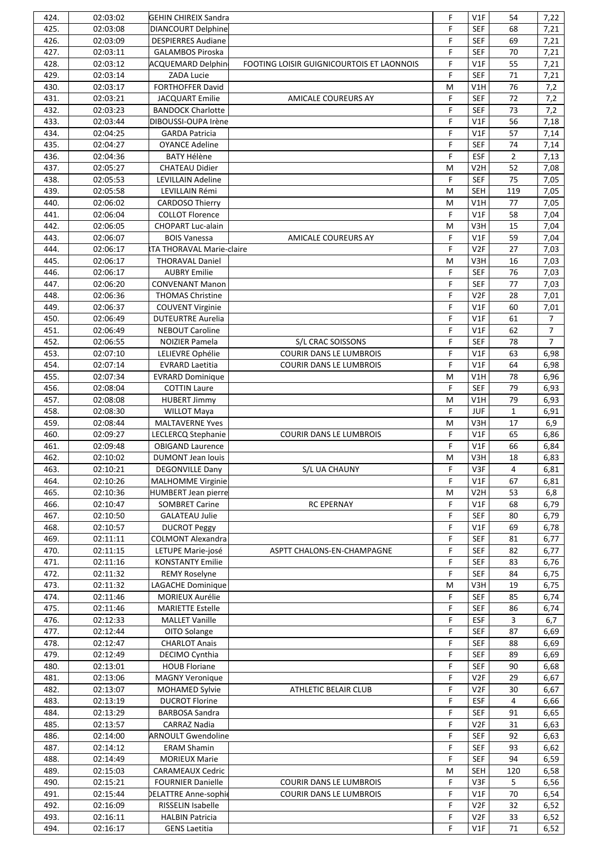| 424. | 02:03:02 | <b>GEHIN CHIREIX Sandra</b> |                                           | F | V1F              | 54             | 7,22           |
|------|----------|-----------------------------|-------------------------------------------|---|------------------|----------------|----------------|
| 425. | 02:03:08 | <b>DIANCOURT Delphine</b>   |                                           | F | <b>SEF</b>       | 68             | 7,21           |
| 426. | 02:03:09 | <b>DESPIERRES Audiane</b>   |                                           | F | <b>SEF</b>       | 69             | 7,21           |
| 427. | 02:03:11 | <b>GALAMBOS Piroska</b>     |                                           | F | <b>SEF</b>       | 70             | 7,21           |
| 428. | 02:03:12 | <b>ACQUEMARD Delphin</b>    |                                           | F | V1F              | 55             | 7,21           |
|      |          |                             | FOOTING LOISIR GUIGNICOURTOIS ET LAONNOIS |   |                  |                |                |
| 429. | 02:03:14 | ZADA Lucie                  |                                           | F | <b>SEF</b>       | 71             | 7,21           |
| 430. | 02:03:17 | FORTHOFFER David            |                                           | M | V1H              | 76             | 7,2            |
| 431. | 02:03:21 | JACQUART Emilie             | <b>AMICALE COUREURS AY</b>                | F | <b>SEF</b>       | 72             | 7,2            |
| 432. | 02:03:23 | <b>BANDOCK Charlotte</b>    |                                           | F | <b>SEF</b>       | 73             | 7,2            |
| 433. | 02:03:44 | DIBOUSSI-OUPA Irène         |                                           | F | V1F              | 56             | 7,18           |
| 434. | 02:04:25 | <b>GARDA Patricia</b>       |                                           | F | V1F              | 57             | 7,14           |
| 435. | 02:04:27 | <b>OYANCE Adeline</b>       |                                           | F | <b>SEF</b>       | 74             | 7,14           |
| 436. | 02:04:36 | <b>BATY Hélène</b>          |                                           | F | <b>ESF</b>       | $\overline{2}$ | 7,13           |
|      |          |                             |                                           |   |                  |                |                |
| 437. | 02:05:27 | <b>CHATEAU Didier</b>       |                                           | M | V <sub>2</sub> H | 52             | 7,08           |
| 438. | 02:05:53 | LEVILLAIN Adeline           |                                           | F | <b>SEF</b>       | 75             | 7,05           |
| 439. | 02:05:58 | LEVILLAIN Rémi              |                                           | M | <b>SEH</b>       | 119            | 7,05           |
| 440. | 02:06:02 | <b>CARDOSO Thierry</b>      |                                           | M | V1H              | 77             | 7,05           |
| 441. | 02:06:04 | <b>COLLOT Florence</b>      |                                           | F | V1F              | 58             | 7,04           |
| 442. | 02:06:05 | CHOPART Luc-alain           |                                           | M | V3H              | 15             | 7,04           |
| 443. | 02:06:07 | <b>BOIS Vanessa</b>         | <b>AMICALE COUREURS AY</b>                | F | V1F              | 59             | 7,04           |
|      | 02:06:17 |                             |                                           |   |                  |                |                |
| 444. |          | TA THORAVAL Marie-claire    |                                           | F | V <sub>2F</sub>  | 27             | 7,03           |
| 445. | 02:06:17 | <b>THORAVAL Daniel</b>      |                                           | M | V3H              | 16             | 7,03           |
| 446. | 02:06:17 | <b>AUBRY Emilie</b>         |                                           | F | <b>SEF</b>       | 76             | 7,03           |
| 447. | 02:06:20 | <b>CONVENANT Manon</b>      |                                           | F | <b>SEF</b>       | 77             | 7,03           |
| 448. | 02:06:36 | <b>THOMAS Christine</b>     |                                           | F | V <sub>2F</sub>  | 28             | 7,01           |
| 449. | 02:06:37 | <b>COUVENT Virginie</b>     |                                           | F | V1F              | 60             | 7,01           |
| 450. | 02:06:49 | <b>DUTEURTRE Aurelia</b>    |                                           | F | V1F              | 61             | 7              |
| 451. | 02:06:49 | <b>NEBOUT Caroline</b>      |                                           | F | V1F              | 62             | $\overline{7}$ |
|      |          |                             |                                           |   |                  |                |                |
| 452. | 02:06:55 | NOIZIER Pamela              | S/L CRAC SOISSONS                         | F | <b>SEF</b>       | 78             | $\overline{7}$ |
| 453. | 02:07:10 | LELIEVRE Ophélie            | <b>COURIR DANS LE LUMBROIS</b>            | F | V1F              | 63             | 6,98           |
| 454. | 02:07:14 | <b>EVRARD Laetitia</b>      | COURIR DANS LE LUMBROIS                   | F | V1F              | 64             | 6,98           |
| 455. | 02:07:34 | <b>EVRARD Dominique</b>     |                                           | M | V1H              | 78             | 6,96           |
| 456. | 02:08:04 | <b>COTTIN Laure</b>         |                                           | F | <b>SEF</b>       | 79             | 6,93           |
| 457. | 02:08:08 | <b>HUBERT Jimmy</b>         |                                           | M | V1H              | 79             | 6,93           |
| 458. | 02:08:30 | <b>WILLOT Maya</b>          |                                           | F | <b>JUF</b>       | $\mathbf{1}$   | 6,91           |
| 459. | 02:08:44 | <b>MALTAVERNE Yves</b>      |                                           | M | V3H              | 17             | 6,9            |
|      |          |                             |                                           |   |                  |                |                |
| 460. | 02:09:27 | <b>LECLERCQ Stephanie</b>   | <b>COURIR DANS LE LUMBROIS</b>            | F | V1F              | 65             | 6,86           |
| 461. | 02:09:48 | <b>OBIGAND Laurence</b>     |                                           | F | V1F              | 66             | 6,84           |
| 462. | 02:10:02 | <b>DUMONT Jean louis</b>    |                                           | M | V3H              | 18             | 6,83           |
| 463. | 02:10:21 | DEGONVILLE Dany             | S/L UA CHAUNY                             | F | V3F              | 4              | 6,81           |
| 464. | 02:10:26 | <b>MALHOMME Virginie</b>    |                                           | F | V1F              | 67             | 6,81           |
| 465. | 02:10:36 | <b>HUMBERT Jean pierre</b>  |                                           | M | V <sub>2</sub> H | 53             | 6,8            |
| 466. | 02:10:47 | <b>SOMBRET Carine</b>       | <b>RC EPERNAY</b>                         | F | V1F              | 68             | 6,79           |
| 467. | 02:10:50 | <b>GALATEAU Julie</b>       |                                           | F | <b>SEF</b>       | 80             | 6,79           |
| 468. | 02:10:57 |                             |                                           | F | V1F              | 69             |                |
|      |          | <b>DUCROT Peggy</b>         |                                           |   |                  |                | 6,78           |
| 469. | 02:11:11 | <b>COLMONT Alexandra</b>    |                                           | F | <b>SEF</b>       | 81             | 6,77           |
| 470. | 02:11:15 | LETUPE Marie-josé           | ASPTT CHALONS-EN-CHAMPAGNE                | F | <b>SEF</b>       | 82             | 6,77           |
| 471. | 02:11:16 | <b>KONSTANTY Emilie</b>     |                                           | F | <b>SEF</b>       | 83             | 6,76           |
| 472. | 02:11:32 | <b>REMY Roselyne</b>        |                                           | F | <b>SEF</b>       | 84             | 6,75           |
| 473. | 02:11:32 | LAGACHE Dominique           |                                           | M | V3H              | 19             | 6,75           |
| 474. | 02:11:46 | MORIEUX Aurélie             |                                           | F | <b>SEF</b>       | 85             | 6,74           |
| 475. | 02:11:46 | <b>MARIETTE Estelle</b>     |                                           | F | <b>SEF</b>       | 86             | 6,74           |
| 476. | 02:12:33 | <b>MALLET Vanille</b>       |                                           | F | <b>ESF</b>       | 3              | 6,7            |
|      |          |                             |                                           |   |                  |                |                |
| 477. | 02:12:44 | OITO Solange                |                                           | F | <b>SEF</b>       | 87             | 6,69           |
| 478. | 02:12:47 | <b>CHARLOT Anais</b>        |                                           | F | <b>SEF</b>       | 88             | 6,69           |
| 479. | 02:12:49 | DECIMO Cynthia              |                                           | F | <b>SEF</b>       | 89             | 6,69           |
| 480. | 02:13:01 | <b>HOUB Floriane</b>        |                                           | F | <b>SEF</b>       | 90             | 6,68           |
| 481. | 02:13:06 | <b>MAGNY Veronique</b>      |                                           | F | V <sub>2F</sub>  | 29             | 6,67           |
| 482. | 02:13:07 | MOHAMED Sylvie              | ATHLETIC BELAIR CLUB                      | F | V <sub>2F</sub>  | 30             | 6,67           |
| 483. | 02:13:19 | <b>DUCROT Florine</b>       |                                           | F | <b>ESF</b>       | 4              | 6,66           |
| 484. | 02:13:29 | <b>BARBOSA Sandra</b>       |                                           | F | <b>SEF</b>       | 91             | 6,65           |
|      |          |                             |                                           |   |                  |                |                |
| 485. | 02:13:57 | <b>CARRAZ Nadia</b>         |                                           | F | V2F              | 31             | 6,63           |
| 486. | 02:14:00 | <b>ARNOULT Gwendoline</b>   |                                           | F | <b>SEF</b>       | 92             | 6,63           |
| 487. | 02:14:12 | <b>ERAM Shamin</b>          |                                           | F | <b>SEF</b>       | 93             | 6,62           |
| 488. | 02:14:49 | <b>MORIEUX Marie</b>        |                                           | F | <b>SEF</b>       | 94             | 6,59           |
| 489. | 02:15:03 | <b>CARAMEAUX Cedric</b>     |                                           | M | <b>SEH</b>       | 120            | 6,58           |
| 490. | 02:15:21 | <b>FOURNIER Danielle</b>    | COURIR DANS LE LUMBROIS                   | F | V3F              | 5              | 6,56           |
| 491. | 02:15:44 | <b>DELATTRE Anne-sophie</b> | <b>COURIR DANS LE LUMBROIS</b>            | F | V1F              | 70             | 6,54           |
| 492. | 02:16:09 | RISSELIN Isabelle           |                                           | F | V <sub>2F</sub>  | 32             | 6,52           |
| 493. | 02:16:11 | <b>HALBIN Patricia</b>      |                                           | F | V <sub>2F</sub>  | 33             | 6,52           |
|      |          |                             |                                           |   |                  |                |                |
| 494. | 02:16:17 | <b>GENS Laetitia</b>        |                                           | F | V1F              | 71             | 6,52           |